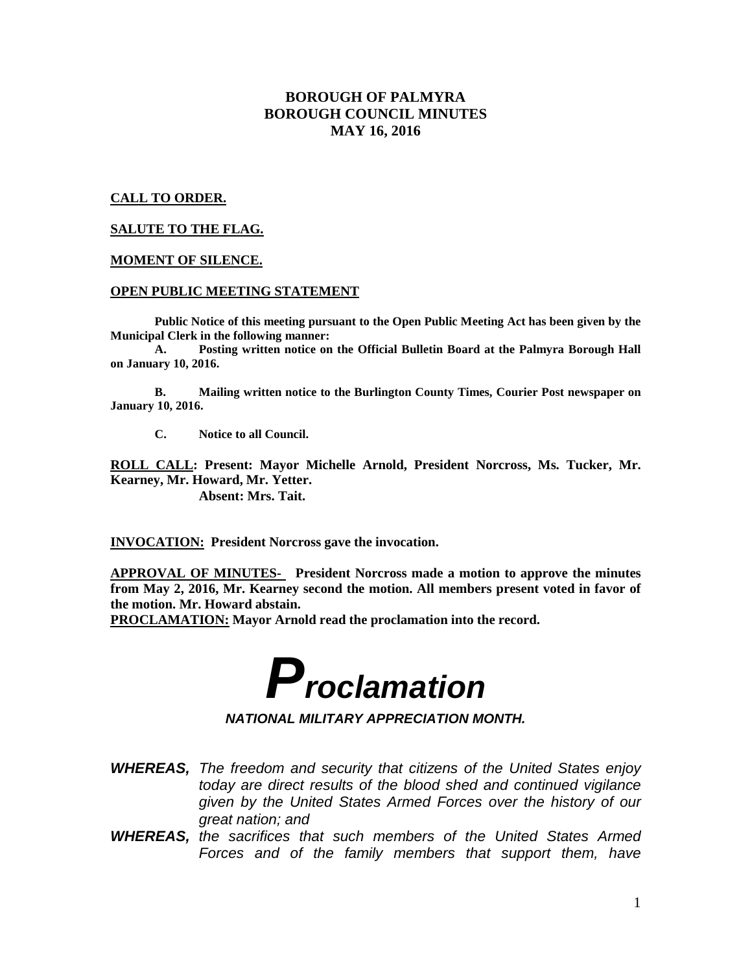# **BOROUGH OF PALMYRA BOROUGH COUNCIL MINUTES MAY 16, 2016**

# **CALL TO ORDER.**

# **SALUTE TO THE FLAG.**

## **MOMENT OF SILENCE.**

#### **OPEN PUBLIC MEETING STATEMENT**

**Public Notice of this meeting pursuant to the Open Public Meeting Act has been given by the Municipal Clerk in the following manner:** 

 **A. Posting written notice on the Official Bulletin Board at the Palmyra Borough Hall on January 10, 2016.** 

 **B. Mailing written notice to the Burlington County Times, Courier Post newspaper on January 10, 2016.** 

 **C. Notice to all Council.** 

**ROLL CALL: Present: Mayor Michelle Arnold, President Norcross, Ms. Tucker, Mr. Kearney, Mr. Howard, Mr. Yetter.** 

 **Absent: Mrs. Tait.** 

**INVOCATION: President Norcross gave the invocation.** 

**APPROVAL OF MINUTES- President Norcross made a motion to approve the minutes from May 2, 2016, Mr. Kearney second the motion. All members present voted in favor of the motion. Mr. Howard abstain.** 

**PROCLAMATION: Mayor Arnold read the proclamation into the record.** 



**NATIONAL MILITARY APPRECIATION MONTH.** 

- **WHEREAS,** The freedom and security that citizens of the United States enjoy today are direct results of the blood shed and continued vigilance given by the United States Armed Forces over the history of our great nation; and
- **WHEREAS,** the sacrifices that such members of the United States Armed Forces and of the family members that support them, have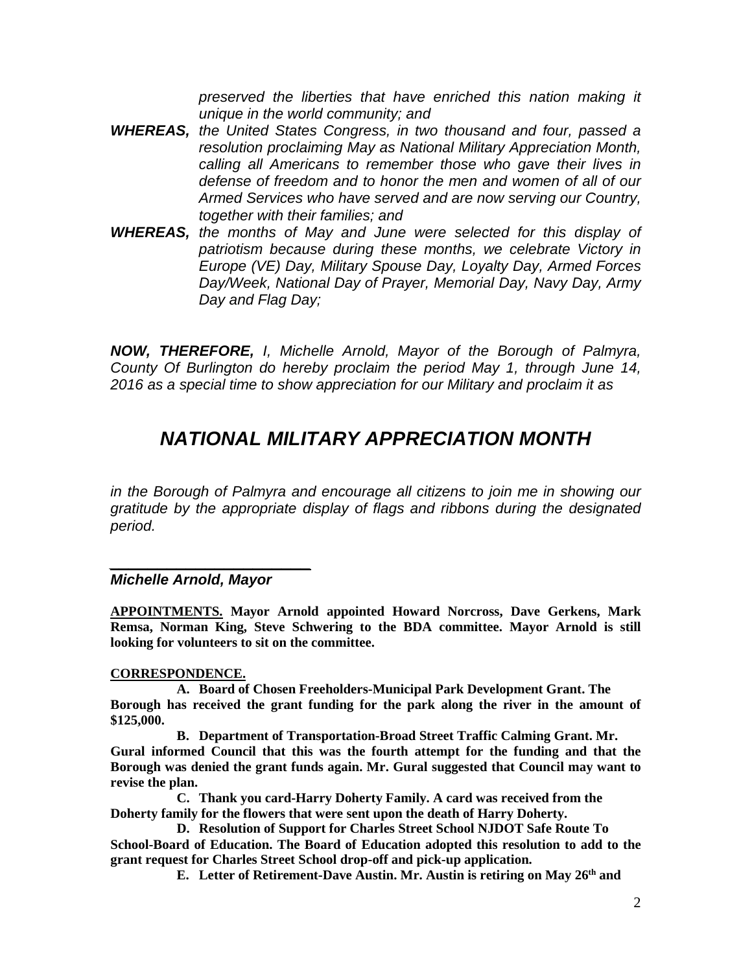preserved the liberties that have enriched this nation making it unique in the world community; and

- **WHEREAS,** the United States Congress, in two thousand and four, passed a resolution proclaiming May as National Military Appreciation Month, calling all Americans to remember those who gave their lives in defense of freedom and to honor the men and women of all of our Armed Services who have served and are now serving our Country, together with their families; and
- **WHEREAS,** the months of May and June were selected for this display of patriotism because during these months, we celebrate Victory in Europe (VE) Day, Military Spouse Day, Loyalty Day, Armed Forces Day/Week, National Day of Prayer, Memorial Day, Navy Day, Army Day and Flag Day;

**NOW, THEREFORE,** I, Michelle Arnold, Mayor of the Borough of Palmyra, County Of Burlington do hereby proclaim the period May 1, through June 14, 2016 as a special time to show appreciation for our Military and proclaim it as

# **NATIONAL MILITARY APPRECIATION MONTH**

in the Borough of Palmyra and encourage all citizens to join me in showing our gratitude by the appropriate display of flags and ribbons during the designated period.

# $\overline{\phantom{a}}$  , and the set of the set of the set of the set of the set of the set of the set of the set of the set of the set of the set of the set of the set of the set of the set of the set of the set of the set of the s **Michelle Arnold, Mayor**

**APPOINTMENTS. Mayor Arnold appointed Howard Norcross, Dave Gerkens, Mark Remsa, Norman King, Steve Schwering to the BDA committee. Mayor Arnold is still looking for volunteers to sit on the committee.** 

# **CORRESPONDENCE.**

**A. Board of Chosen Freeholders-Municipal Park Development Grant. The Borough has received the grant funding for the park along the river in the amount of \$125,000.** 

**B. Department of Transportation-Broad Street Traffic Calming Grant. Mr. Gural informed Council that this was the fourth attempt for the funding and that the Borough was denied the grant funds again. Mr. Gural suggested that Council may want to revise the plan.** 

**C. Thank you card-Harry Doherty Family. A card was received from the Doherty family for the flowers that were sent upon the death of Harry Doherty.** 

**D. Resolution of Support for Charles Street School NJDOT Safe Route To School-Board of Education. The Board of Education adopted this resolution to add to the grant request for Charles Street School drop-off and pick-up application.** 

**E. Letter of Retirement-Dave Austin. Mr. Austin is retiring on May 26th and**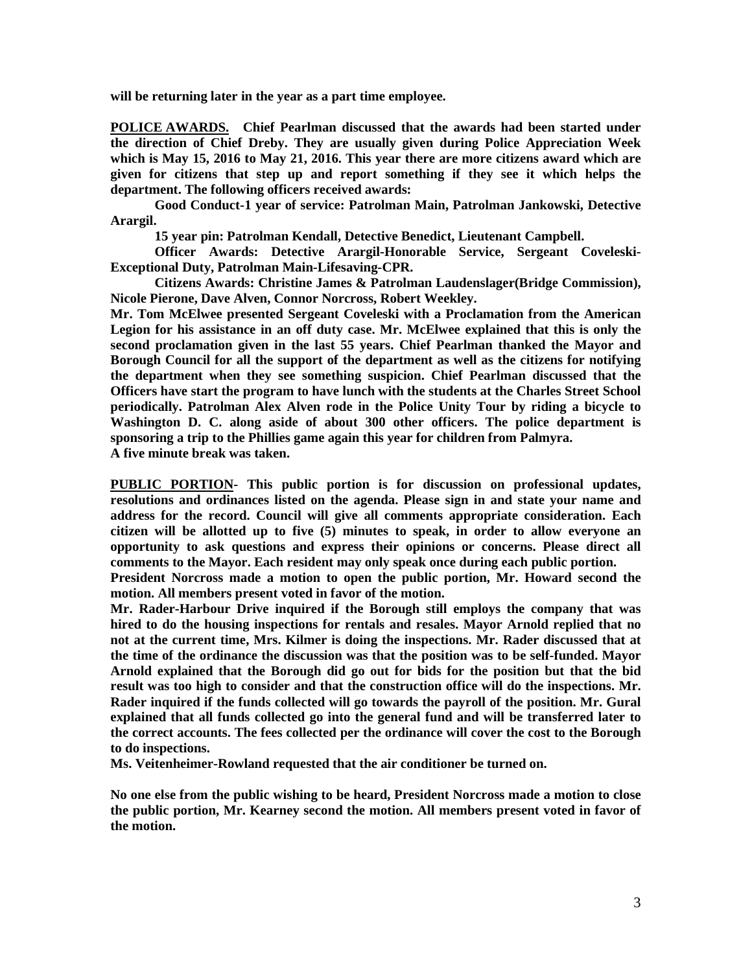**will be returning later in the year as a part time employee.** 

**POLICE AWARDS. Chief Pearlman discussed that the awards had been started under the direction of Chief Dreby. They are usually given during Police Appreciation Week which is May 15, 2016 to May 21, 2016. This year there are more citizens award which are given for citizens that step up and report something if they see it which helps the department. The following officers received awards:**

 **Good Conduct-1 year of service: Patrolman Main, Patrolman Jankowski, Detective Arargil.** 

 **15 year pin: Patrolman Kendall, Detective Benedict, Lieutenant Campbell.** 

 **Officer Awards: Detective Arargil-Honorable Service, Sergeant Coveleski-Exceptional Duty, Patrolman Main-Lifesaving-CPR.** 

 **Citizens Awards: Christine James & Patrolman Laudenslager(Bridge Commission), Nicole Pierone, Dave Alven, Connor Norcross, Robert Weekley.** 

**Mr. Tom McElwee presented Sergeant Coveleski with a Proclamation from the American Legion for his assistance in an off duty case. Mr. McElwee explained that this is only the second proclamation given in the last 55 years. Chief Pearlman thanked the Mayor and Borough Council for all the support of the department as well as the citizens for notifying the department when they see something suspicion. Chief Pearlman discussed that the Officers have start the program to have lunch with the students at the Charles Street School periodically. Patrolman Alex Alven rode in the Police Unity Tour by riding a bicycle to Washington D. C. along aside of about 300 other officers. The police department is sponsoring a trip to the Phillies game again this year for children from Palmyra. A five minute break was taken.** 

**PUBLIC PORTION- This public portion is for discussion on professional updates, resolutions and ordinances listed on the agenda. Please sign in and state your name and address for the record. Council will give all comments appropriate consideration. Each citizen will be allotted up to five (5) minutes to speak, in order to allow everyone an opportunity to ask questions and express their opinions or concerns. Please direct all comments to the Mayor. Each resident may only speak once during each public portion.** 

**President Norcross made a motion to open the public portion, Mr. Howard second the motion. All members present voted in favor of the motion.** 

**Mr. Rader-Harbour Drive inquired if the Borough still employs the company that was hired to do the housing inspections for rentals and resales. Mayor Arnold replied that no not at the current time, Mrs. Kilmer is doing the inspections. Mr. Rader discussed that at the time of the ordinance the discussion was that the position was to be self-funded. Mayor Arnold explained that the Borough did go out for bids for the position but that the bid result was too high to consider and that the construction office will do the inspections. Mr. Rader inquired if the funds collected will go towards the payroll of the position. Mr. Gural explained that all funds collected go into the general fund and will be transferred later to the correct accounts. The fees collected per the ordinance will cover the cost to the Borough to do inspections.** 

**Ms. Veitenheimer-Rowland requested that the air conditioner be turned on.** 

**No one else from the public wishing to be heard, President Norcross made a motion to close the public portion, Mr. Kearney second the motion. All members present voted in favor of the motion.**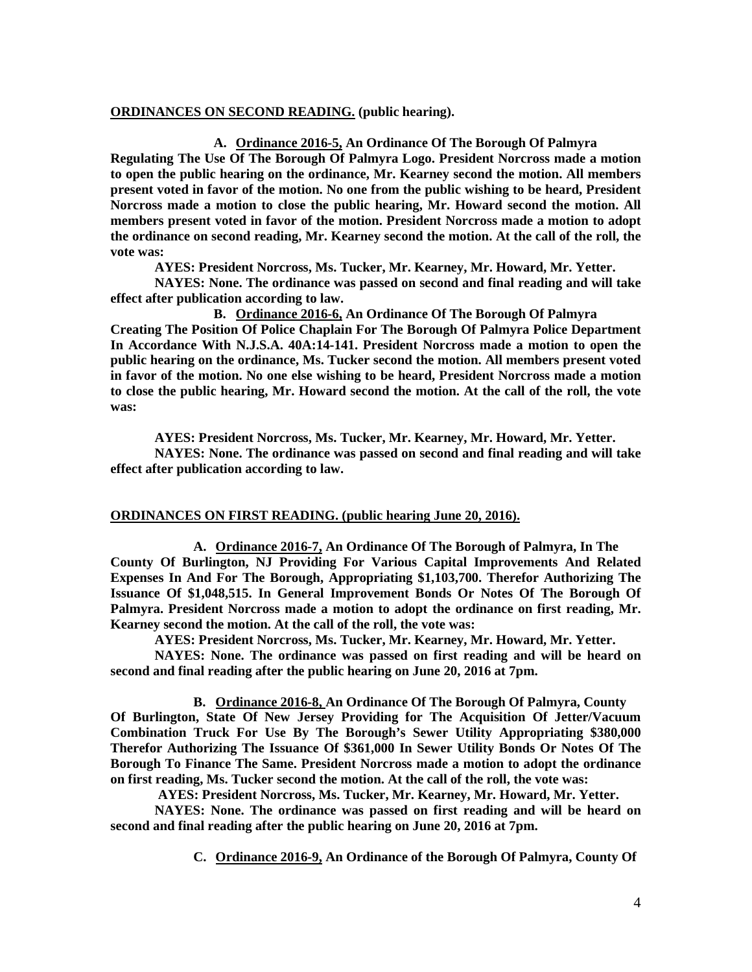### **ORDINANCES ON SECOND READING. (public hearing).**

**A. Ordinance 2016-5, An Ordinance Of The Borough Of Palmyra Regulating The Use Of The Borough Of Palmyra Logo. President Norcross made a motion to open the public hearing on the ordinance, Mr. Kearney second the motion. All members present voted in favor of the motion. No one from the public wishing to be heard, President Norcross made a motion to close the public hearing, Mr. Howard second the motion. All members present voted in favor of the motion. President Norcross made a motion to adopt the ordinance on second reading, Mr. Kearney second the motion. At the call of the roll, the vote was:** 

 **AYES: President Norcross, Ms. Tucker, Mr. Kearney, Mr. Howard, Mr. Yetter.** 

 **NAYES: None. The ordinance was passed on second and final reading and will take effect after publication according to law.** 

**B. Ordinance 2016-6, An Ordinance Of The Borough Of Palmyra Creating The Position Of Police Chaplain For The Borough Of Palmyra Police Department In Accordance With N.J.S.A. 40A:14-141. President Norcross made a motion to open the public hearing on the ordinance, Ms. Tucker second the motion. All members present voted in favor of the motion. No one else wishing to be heard, President Norcross made a motion to close the public hearing, Mr. Howard second the motion. At the call of the roll, the vote was:** 

**AYES: President Norcross, Ms. Tucker, Mr. Kearney, Mr. Howard, Mr. Yetter. NAYES: None. The ordinance was passed on second and final reading and will take effect after publication according to law.** 

# **ORDINANCES ON FIRST READING. (public hearing June 20, 2016).**

**A. Ordinance 2016-7, An Ordinance Of The Borough of Palmyra, In The County Of Burlington, NJ Providing For Various Capital Improvements And Related Expenses In And For The Borough, Appropriating \$1,103,700. Therefor Authorizing The Issuance Of \$1,048,515. In General Improvement Bonds Or Notes Of The Borough Of Palmyra. President Norcross made a motion to adopt the ordinance on first reading, Mr. Kearney second the motion. At the call of the roll, the vote was:** 

**AYES: President Norcross, Ms. Tucker, Mr. Kearney, Mr. Howard, Mr. Yetter.** 

 **NAYES: None. The ordinance was passed on first reading and will be heard on second and final reading after the public hearing on June 20, 2016 at 7pm.** 

**B. Ordinance 2016-8, An Ordinance Of The Borough Of Palmyra, County** 

**Of Burlington, State Of New Jersey Providing for The Acquisition Of Jetter/Vacuum Combination Truck For Use By The Borough's Sewer Utility Appropriating \$380,000 Therefor Authorizing The Issuance Of \$361,000 In Sewer Utility Bonds Or Notes Of The Borough To Finance The Same. President Norcross made a motion to adopt the ordinance on first reading, Ms. Tucker second the motion. At the call of the roll, the vote was:** 

 **AYES: President Norcross, Ms. Tucker, Mr. Kearney, Mr. Howard, Mr. Yetter.** 

 **NAYES: None. The ordinance was passed on first reading and will be heard on second and final reading after the public hearing on June 20, 2016 at 7pm.** 

**C. Ordinance 2016-9, An Ordinance of the Borough Of Palmyra, County Of**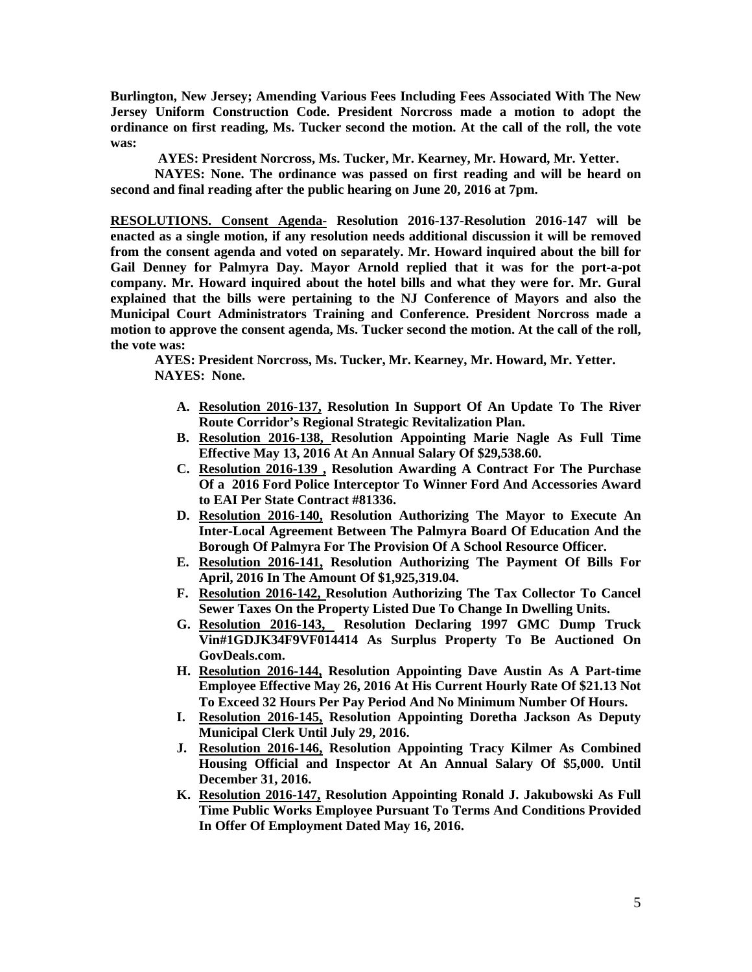**Burlington, New Jersey; Amending Various Fees Including Fees Associated With The New Jersey Uniform Construction Code. President Norcross made a motion to adopt the ordinance on first reading, Ms. Tucker second the motion. At the call of the roll, the vote was:** 

 **AYES: President Norcross, Ms. Tucker, Mr. Kearney, Mr. Howard, Mr. Yetter.** 

 **NAYES: None. The ordinance was passed on first reading and will be heard on second and final reading after the public hearing on June 20, 2016 at 7pm.** 

**RESOLUTIONS. Consent Agenda- Resolution 2016-137-Resolution 2016-147 will be enacted as a single motion, if any resolution needs additional discussion it will be removed from the consent agenda and voted on separately. Mr. Howard inquired about the bill for Gail Denney for Palmyra Day. Mayor Arnold replied that it was for the port-a-pot company. Mr. Howard inquired about the hotel bills and what they were for. Mr. Gural explained that the bills were pertaining to the NJ Conference of Mayors and also the Municipal Court Administrators Training and Conference. President Norcross made a motion to approve the consent agenda, Ms. Tucker second the motion. At the call of the roll, the vote was:** 

 **AYES: President Norcross, Ms. Tucker, Mr. Kearney, Mr. Howard, Mr. Yetter. NAYES: None.** 

- **A. Resolution 2016-137, Resolution In Support Of An Update To The River Route Corridor's Regional Strategic Revitalization Plan.**
- **B. Resolution 2016-138, Resolution Appointing Marie Nagle As Full Time Effective May 13, 2016 At An Annual Salary Of \$29,538.60.**
- **C. Resolution 2016-139 , Resolution Awarding A Contract For The Purchase Of a 2016 Ford Police Interceptor To Winner Ford And Accessories Award to EAI Per State Contract #81336.**
- **D. Resolution 2016-140, Resolution Authorizing The Mayor to Execute An Inter-Local Agreement Between The Palmyra Board Of Education And the Borough Of Palmyra For The Provision Of A School Resource Officer.**
- **E. Resolution 2016-141, Resolution Authorizing The Payment Of Bills For April, 2016 In The Amount Of \$1,925,319.04.**
- **F. Resolution 2016-142, Resolution Authorizing The Tax Collector To Cancel Sewer Taxes On the Property Listed Due To Change In Dwelling Units.**
- **G. Resolution 2016-143, Resolution Declaring 1997 GMC Dump Truck Vin#1GDJK34F9VF014414 As Surplus Property To Be Auctioned On GovDeals.com.**
- **H. Resolution 2016-144, Resolution Appointing Dave Austin As A Part-time Employee Effective May 26, 2016 At His Current Hourly Rate Of \$21.13 Not To Exceed 32 Hours Per Pay Period And No Minimum Number Of Hours.**
- **I. Resolution 2016-145, Resolution Appointing Doretha Jackson As Deputy Municipal Clerk Until July 29, 2016.**
- **J. Resolution 2016-146, Resolution Appointing Tracy Kilmer As Combined Housing Official and Inspector At An Annual Salary Of \$5,000. Until December 31, 2016.**
- **K. Resolution 2016-147, Resolution Appointing Ronald J. Jakubowski As Full Time Public Works Employee Pursuant To Terms And Conditions Provided In Offer Of Employment Dated May 16, 2016.**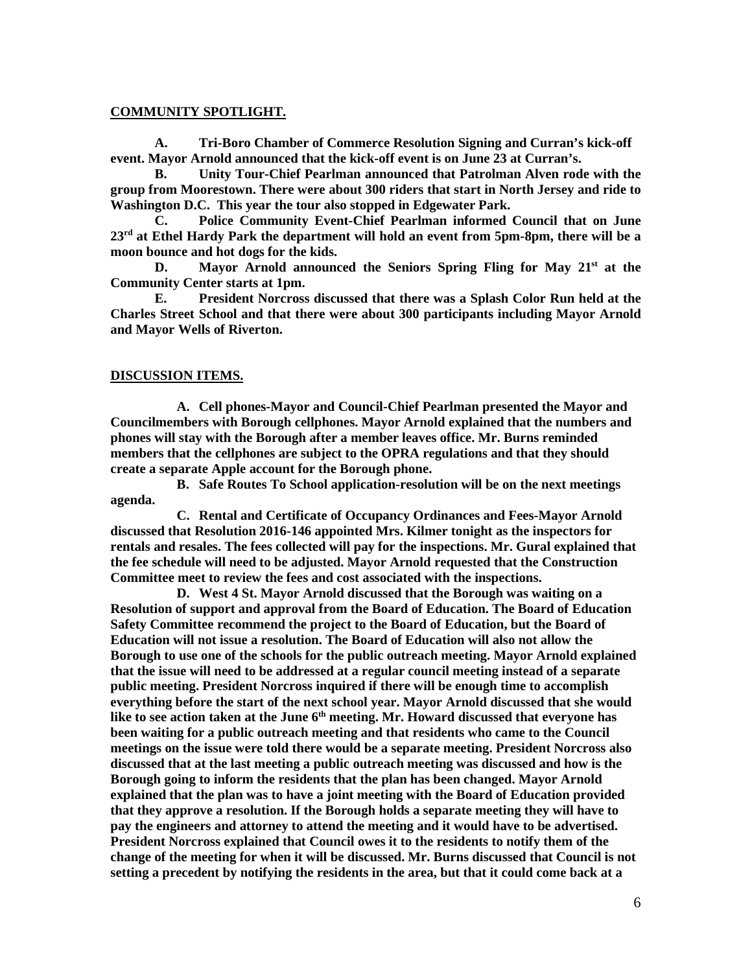#### **COMMUNITY SPOTLIGHT.**

**A. Tri-Boro Chamber of Commerce Resolution Signing and Curran's kick-off event. Mayor Arnold announced that the kick-off event is on June 23 at Curran's.** 

 **B. Unity Tour-Chief Pearlman announced that Patrolman Alven rode with the group from Moorestown. There were about 300 riders that start in North Jersey and ride to Washington D.C. This year the tour also stopped in Edgewater Park.** 

 **C. Police Community Event-Chief Pearlman informed Council that on June 23rd at Ethel Hardy Park the department will hold an event from 5pm-8pm, there will be a moon bounce and hot dogs for the kids.** 

 **D. Mayor Arnold announced the Seniors Spring Fling for May 21st at the Community Center starts at 1pm.** 

 **E. President Norcross discussed that there was a Splash Color Run held at the Charles Street School and that there were about 300 participants including Mayor Arnold and Mayor Wells of Riverton.** 

#### **DISCUSSION ITEMS.**

**A. Cell phones-Mayor and Council-Chief Pearlman presented the Mayor and Councilmembers with Borough cellphones. Mayor Arnold explained that the numbers and phones will stay with the Borough after a member leaves office. Mr. Burns reminded members that the cellphones are subject to the OPRA regulations and that they should create a separate Apple account for the Borough phone.** 

**B. Safe Routes To School application-resolution will be on the next meetings agenda.** 

**C. Rental and Certificate of Occupancy Ordinances and Fees-Mayor Arnold discussed that Resolution 2016-146 appointed Mrs. Kilmer tonight as the inspectors for rentals and resales. The fees collected will pay for the inspections. Mr. Gural explained that the fee schedule will need to be adjusted. Mayor Arnold requested that the Construction Committee meet to review the fees and cost associated with the inspections.** 

**D. West 4 St. Mayor Arnold discussed that the Borough was waiting on a Resolution of support and approval from the Board of Education. The Board of Education Safety Committee recommend the project to the Board of Education, but the Board of Education will not issue a resolution. The Board of Education will also not allow the Borough to use one of the schools for the public outreach meeting. Mayor Arnold explained that the issue will need to be addressed at a regular council meeting instead of a separate public meeting. President Norcross inquired if there will be enough time to accomplish everything before the start of the next school year. Mayor Arnold discussed that she would like to see action taken at the June 6th meeting. Mr. Howard discussed that everyone has been waiting for a public outreach meeting and that residents who came to the Council meetings on the issue were told there would be a separate meeting. President Norcross also discussed that at the last meeting a public outreach meeting was discussed and how is the Borough going to inform the residents that the plan has been changed. Mayor Arnold explained that the plan was to have a joint meeting with the Board of Education provided that they approve a resolution. If the Borough holds a separate meeting they will have to pay the engineers and attorney to attend the meeting and it would have to be advertised. President Norcross explained that Council owes it to the residents to notify them of the change of the meeting for when it will be discussed. Mr. Burns discussed that Council is not setting a precedent by notifying the residents in the area, but that it could come back at a**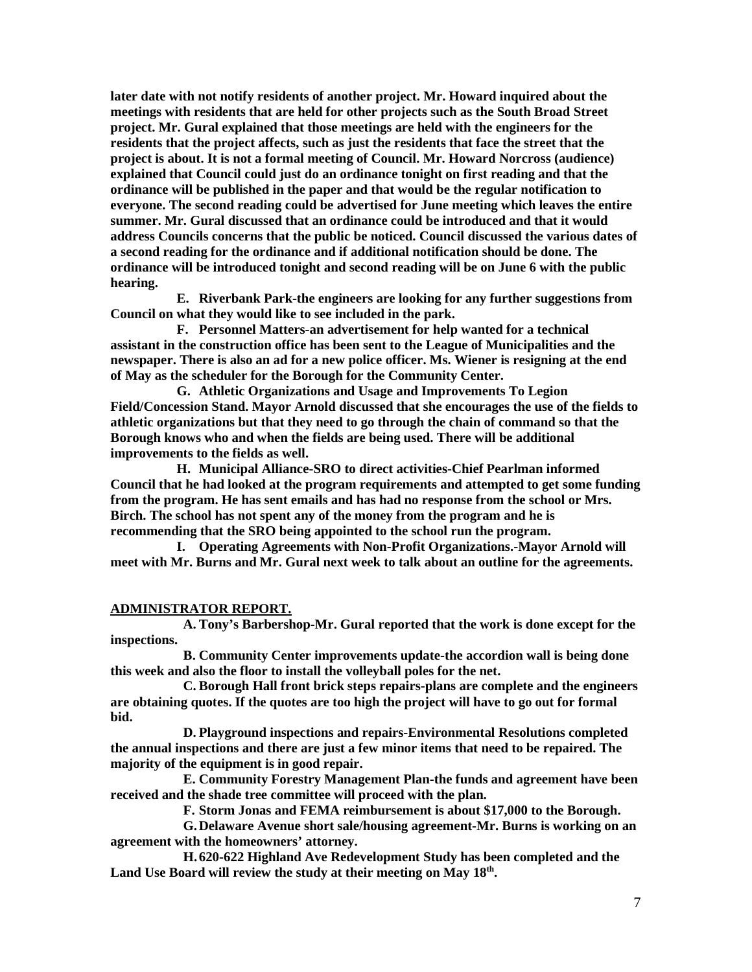**later date with not notify residents of another project. Mr. Howard inquired about the meetings with residents that are held for other projects such as the South Broad Street project. Mr. Gural explained that those meetings are held with the engineers for the residents that the project affects, such as just the residents that face the street that the project is about. It is not a formal meeting of Council. Mr. Howard Norcross (audience) explained that Council could just do an ordinance tonight on first reading and that the ordinance will be published in the paper and that would be the regular notification to everyone. The second reading could be advertised for June meeting which leaves the entire summer. Mr. Gural discussed that an ordinance could be introduced and that it would address Councils concerns that the public be noticed. Council discussed the various dates of a second reading for the ordinance and if additional notification should be done. The ordinance will be introduced tonight and second reading will be on June 6 with the public hearing.** 

**E. Riverbank Park-the engineers are looking for any further suggestions from Council on what they would like to see included in the park.** 

**F. Personnel Matters-an advertisement for help wanted for a technical assistant in the construction office has been sent to the League of Municipalities and the newspaper. There is also an ad for a new police officer. Ms. Wiener is resigning at the end of May as the scheduler for the Borough for the Community Center.** 

**G. Athletic Organizations and Usage and Improvements To Legion Field/Concession Stand. Mayor Arnold discussed that she encourages the use of the fields to athletic organizations but that they need to go through the chain of command so that the Borough knows who and when the fields are being used. There will be additional improvements to the fields as well.** 

**H. Municipal Alliance-SRO to direct activities-Chief Pearlman informed Council that he had looked at the program requirements and attempted to get some funding from the program. He has sent emails and has had no response from the school or Mrs. Birch. The school has not spent any of the money from the program and he is recommending that the SRO being appointed to the school run the program.** 

**I. Operating Agreements with Non-Profit Organizations.-Mayor Arnold will meet with Mr. Burns and Mr. Gural next week to talk about an outline for the agreements.** 

#### **ADMINISTRATOR REPORT.**

**A. Tony's Barbershop-Mr. Gural reported that the work is done except for the inspections.** 

**B. Community Center improvements update-the accordion wall is being done this week and also the floor to install the volleyball poles for the net.** 

**C. Borough Hall front brick steps repairs-plans are complete and the engineers are obtaining quotes. If the quotes are too high the project will have to go out for formal bid.** 

**D. Playground inspections and repairs-Environmental Resolutions completed the annual inspections and there are just a few minor items that need to be repaired. The majority of the equipment is in good repair.** 

**E. Community Forestry Management Plan-the funds and agreement have been received and the shade tree committee will proceed with the plan.** 

**F. Storm Jonas and FEMA reimbursement is about \$17,000 to the Borough.** 

**G.Delaware Avenue short sale/housing agreement-Mr. Burns is working on an agreement with the homeowners' attorney.** 

**H.620-622 Highland Ave Redevelopment Study has been completed and the Land Use Board will review the study at their meeting on May 18th .**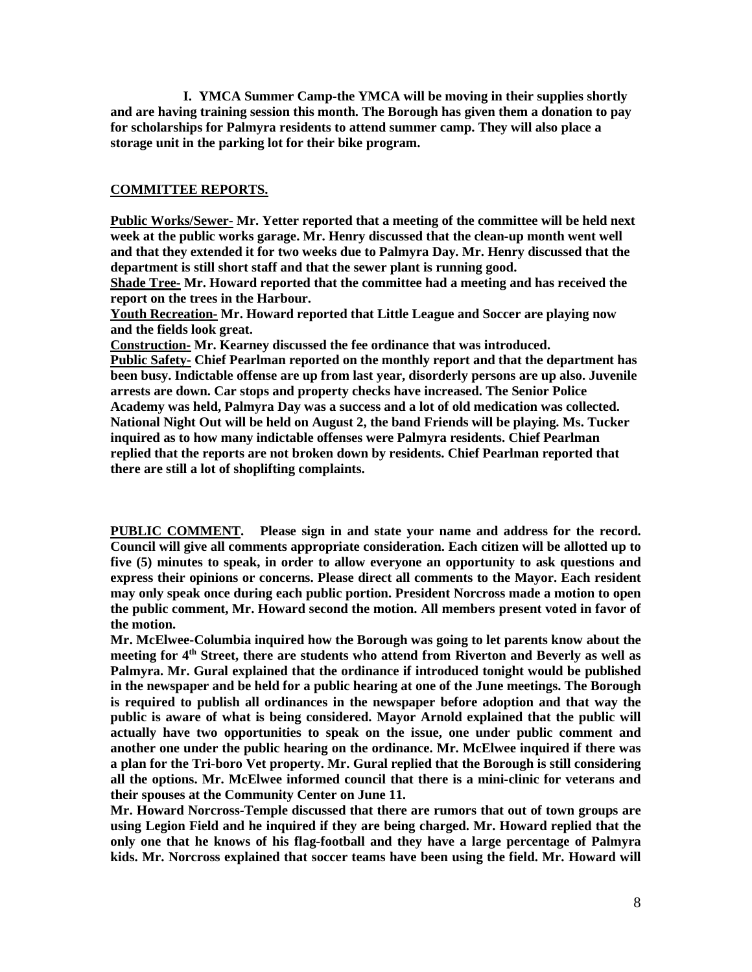**I. YMCA Summer Camp-the YMCA will be moving in their supplies shortly and are having training session this month. The Borough has given them a donation to pay for scholarships for Palmyra residents to attend summer camp. They will also place a storage unit in the parking lot for their bike program.** 

# **COMMITTEE REPORTS.**

**Public Works/Sewer- Mr. Yetter reported that a meeting of the committee will be held next week at the public works garage. Mr. Henry discussed that the clean-up month went well and that they extended it for two weeks due to Palmyra Day. Mr. Henry discussed that the department is still short staff and that the sewer plant is running good.** 

**Shade Tree- Mr. Howard reported that the committee had a meeting and has received the report on the trees in the Harbour.** 

**Youth Recreation- Mr. Howard reported that Little League and Soccer are playing now and the fields look great.** 

**Construction- Mr. Kearney discussed the fee ordinance that was introduced. Public Safety- Chief Pearlman reported on the monthly report and that the department has been busy. Indictable offense are up from last year, disorderly persons are up also. Juvenile arrests are down. Car stops and property checks have increased. The Senior Police Academy was held, Palmyra Day was a success and a lot of old medication was collected. National Night Out will be held on August 2, the band Friends will be playing. Ms. Tucker inquired as to how many indictable offenses were Palmyra residents. Chief Pearlman replied that the reports are not broken down by residents. Chief Pearlman reported that there are still a lot of shoplifting complaints.** 

**PUBLIC COMMENT. Please sign in and state your name and address for the record. Council will give all comments appropriate consideration. Each citizen will be allotted up to five (5) minutes to speak, in order to allow everyone an opportunity to ask questions and express their opinions or concerns. Please direct all comments to the Mayor. Each resident may only speak once during each public portion. President Norcross made a motion to open the public comment, Mr. Howard second the motion. All members present voted in favor of the motion.** 

**Mr. McElwee-Columbia inquired how the Borough was going to let parents know about the meeting for 4th Street, there are students who attend from Riverton and Beverly as well as Palmyra. Mr. Gural explained that the ordinance if introduced tonight would be published in the newspaper and be held for a public hearing at one of the June meetings. The Borough is required to publish all ordinances in the newspaper before adoption and that way the public is aware of what is being considered. Mayor Arnold explained that the public will actually have two opportunities to speak on the issue, one under public comment and another one under the public hearing on the ordinance. Mr. McElwee inquired if there was a plan for the Tri-boro Vet property. Mr. Gural replied that the Borough is still considering all the options. Mr. McElwee informed council that there is a mini-clinic for veterans and their spouses at the Community Center on June 11.** 

**Mr. Howard Norcross-Temple discussed that there are rumors that out of town groups are using Legion Field and he inquired if they are being charged. Mr. Howard replied that the only one that he knows of his flag-football and they have a large percentage of Palmyra kids. Mr. Norcross explained that soccer teams have been using the field. Mr. Howard will**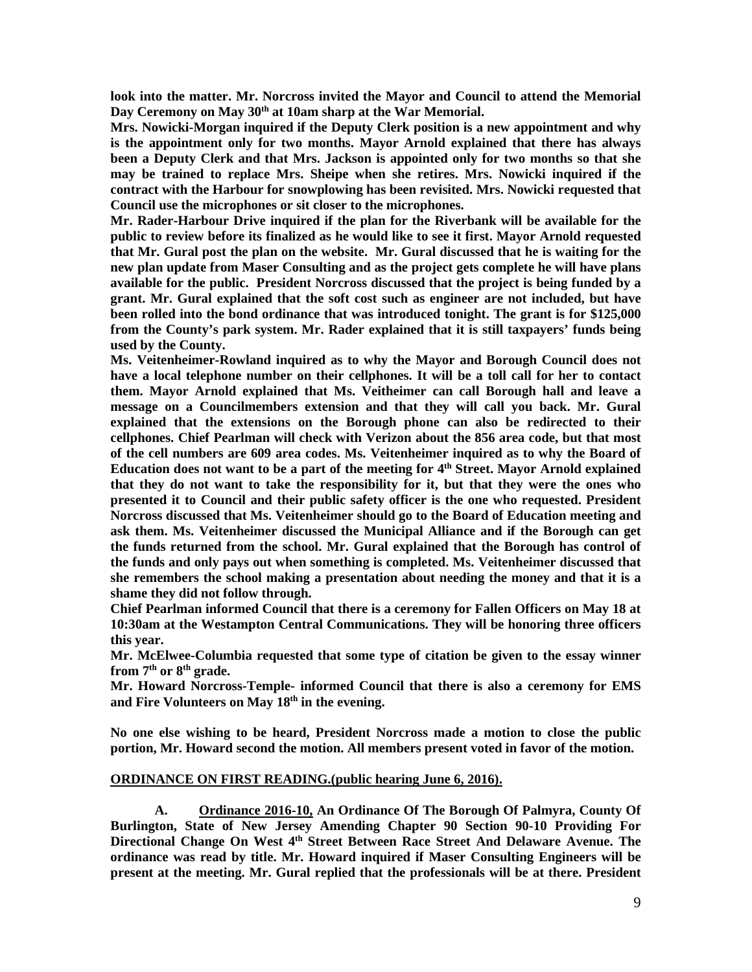**look into the matter. Mr. Norcross invited the Mayor and Council to attend the Memorial Day Ceremony on May 30th at 10am sharp at the War Memorial.** 

**Mrs. Nowicki-Morgan inquired if the Deputy Clerk position is a new appointment and why is the appointment only for two months. Mayor Arnold explained that there has always been a Deputy Clerk and that Mrs. Jackson is appointed only for two months so that she may be trained to replace Mrs. Sheipe when she retires. Mrs. Nowicki inquired if the contract with the Harbour for snowplowing has been revisited. Mrs. Nowicki requested that Council use the microphones or sit closer to the microphones.** 

**Mr. Rader-Harbour Drive inquired if the plan for the Riverbank will be available for the public to review before its finalized as he would like to see it first. Mayor Arnold requested that Mr. Gural post the plan on the website. Mr. Gural discussed that he is waiting for the new plan update from Maser Consulting and as the project gets complete he will have plans available for the public. President Norcross discussed that the project is being funded by a grant. Mr. Gural explained that the soft cost such as engineer are not included, but have been rolled into the bond ordinance that was introduced tonight. The grant is for \$125,000 from the County's park system. Mr. Rader explained that it is still taxpayers' funds being used by the County.** 

**Ms. Veitenheimer-Rowland inquired as to why the Mayor and Borough Council does not have a local telephone number on their cellphones. It will be a toll call for her to contact them. Mayor Arnold explained that Ms. Veitheimer can call Borough hall and leave a message on a Councilmembers extension and that they will call you back. Mr. Gural explained that the extensions on the Borough phone can also be redirected to their cellphones. Chief Pearlman will check with Verizon about the 856 area code, but that most of the cell numbers are 609 area codes. Ms. Veitenheimer inquired as to why the Board of Education does not want to be a part of the meeting for 4th Street. Mayor Arnold explained that they do not want to take the responsibility for it, but that they were the ones who presented it to Council and their public safety officer is the one who requested. President Norcross discussed that Ms. Veitenheimer should go to the Board of Education meeting and ask them. Ms. Veitenheimer discussed the Municipal Alliance and if the Borough can get the funds returned from the school. Mr. Gural explained that the Borough has control of the funds and only pays out when something is completed. Ms. Veitenheimer discussed that she remembers the school making a presentation about needing the money and that it is a shame they did not follow through.** 

**Chief Pearlman informed Council that there is a ceremony for Fallen Officers on May 18 at 10:30am at the Westampton Central Communications. They will be honoring three officers this year.** 

**Mr. McElwee-Columbia requested that some type of citation be given to the essay winner from 7th or 8th grade.** 

**Mr. Howard Norcross-Temple- informed Council that there is also a ceremony for EMS and Fire Volunteers on May 18th in the evening.** 

**No one else wishing to be heard, President Norcross made a motion to close the public portion, Mr. Howard second the motion. All members present voted in favor of the motion.** 

#### **ORDINANCE ON FIRST READING.(public hearing June 6, 2016).**

 **A. Ordinance 2016-10, An Ordinance Of The Borough Of Palmyra, County Of Burlington, State of New Jersey Amending Chapter 90 Section 90-10 Providing For Directional Change On West 4th Street Between Race Street And Delaware Avenue. The ordinance was read by title. Mr. Howard inquired if Maser Consulting Engineers will be present at the meeting. Mr. Gural replied that the professionals will be at there. President**